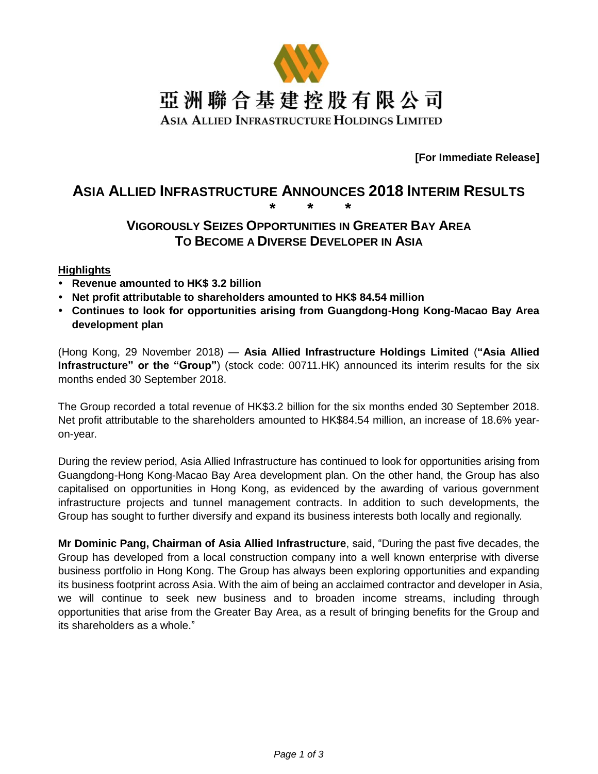

**[For Immediate Release]**

# **ASIA ALLIED INFRASTRUCTURE ANNOUNCES 2018 INTERIM RESULTS \* \* \***

# **VIGOROUSLY SEIZES OPPORTUNITIES IN GREATER BAY AREA TO BECOME A DIVERSE DEVELOPER IN ASIA**

#### **Highlights**

- **Revenue amounted to HK\$ 3.2 billion**
- **Net profit attributable to shareholders amounted to HK\$ 84.54 million**
- **Continues to look for opportunities arising from Guangdong-Hong Kong-Macao Bay Area development plan**

(Hong Kong, 29 November 2018) — **Asia Allied Infrastructure Holdings Limited** (**"Asia Allied Infrastructure" or the "Group"**) (stock code: 00711.HK) announced its interim results for the six months ended 30 September 2018.

The Group recorded a total revenue of HK\$3.2 billion for the six months ended 30 September 2018. Net profit attributable to the shareholders amounted to HK\$84.54 million, an increase of 18.6% yearon-year.

During the review period, Asia Allied Infrastructure has continued to look for opportunities arising from Guangdong-Hong Kong-Macao Bay Area development plan. On the other hand, the Group has also capitalised on opportunities in Hong Kong, as evidenced by the awarding of various government infrastructure projects and tunnel management contracts. In addition to such developments, the Group has sought to further diversify and expand its business interests both locally and regionally.

**Mr Dominic Pang, Chairman of Asia Allied Infrastructure**, said, "During the past five decades, the Group has developed from a local construction company into a well known enterprise with diverse business portfolio in Hong Kong. The Group has always been exploring opportunities and expanding its business footprint across Asia. With the aim of being an acclaimed contractor and developer in Asia, we will continue to seek new business and to broaden income streams, including through opportunities that arise from the Greater Bay Area, as a result of bringing benefits for the Group and its shareholders as a whole."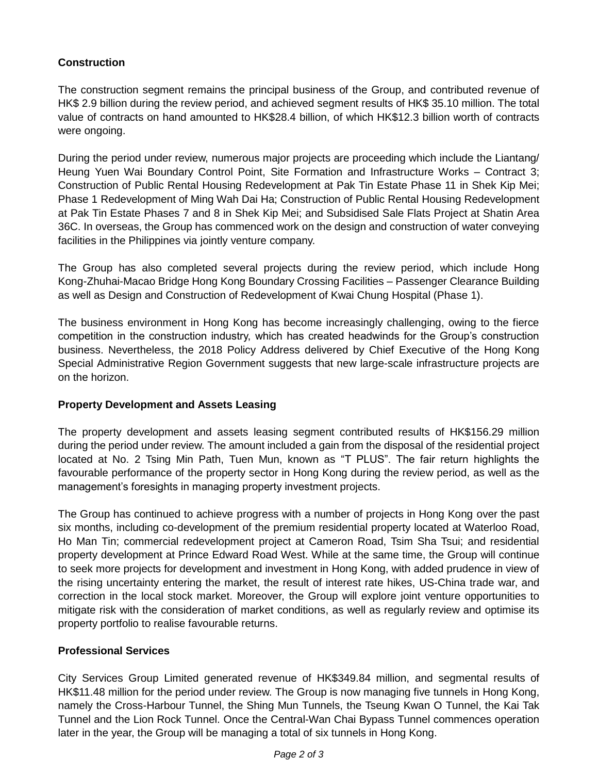# **Construction**

The construction segment remains the principal business of the Group, and contributed revenue of HK\$ 2.9 billion during the review period, and achieved segment results of HK\$ 35.10 million. The total value of contracts on hand amounted to HK\$28.4 billion, of which HK\$12.3 billion worth of contracts were ongoing.

During the period under review, numerous major projects are proceeding which include the Liantang/ Heung Yuen Wai Boundary Control Point, Site Formation and Infrastructure Works – Contract 3; Construction of Public Rental Housing Redevelopment at Pak Tin Estate Phase 11 in Shek Kip Mei; Phase 1 Redevelopment of Ming Wah Dai Ha; Construction of Public Rental Housing Redevelopment at Pak Tin Estate Phases 7 and 8 in Shek Kip Mei; and Subsidised Sale Flats Project at Shatin Area 36C. In overseas, the Group has commenced work on the design and construction of water conveying facilities in the Philippines via jointly venture company.

The Group has also completed several projects during the review period, which include Hong Kong-Zhuhai-Macao Bridge Hong Kong Boundary Crossing Facilities – Passenger Clearance Building as well as Design and Construction of Redevelopment of Kwai Chung Hospital (Phase 1).

The business environment in Hong Kong has become increasingly challenging, owing to the fierce competition in the construction industry, which has created headwinds for the Group's construction business. Nevertheless, the 2018 Policy Address delivered by Chief Executive of the Hong Kong Special Administrative Region Government suggests that new large-scale infrastructure projects are on the horizon.

## **Property Development and Assets Leasing**

The property development and assets leasing segment contributed results of HK\$156.29 million during the period under review. The amount included a gain from the disposal of the residential project located at No. 2 Tsing Min Path, Tuen Mun, known as "T PLUS". The fair return highlights the favourable performance of the property sector in Hong Kong during the review period, as well as the management's foresights in managing property investment projects.

The Group has continued to achieve progress with a number of projects in Hong Kong over the past six months, including co-development of the premium residential property located at Waterloo Road, Ho Man Tin; commercial redevelopment project at Cameron Road, Tsim Sha Tsui; and residential property development at Prince Edward Road West. While at the same time, the Group will continue to seek more projects for development and investment in Hong Kong, with added prudence in view of the rising uncertainty entering the market, the result of interest rate hikes, US-China trade war, and correction in the local stock market. Moreover, the Group will explore joint venture opportunities to mitigate risk with the consideration of market conditions, as well as regularly review and optimise its property portfolio to realise favourable returns.

## **Professional Services**

City Services Group Limited generated revenue of HK\$349.84 million, and segmental results of HK\$11.48 million for the period under review. The Group is now managing five tunnels in Hong Kong, namely the Cross-Harbour Tunnel, the Shing Mun Tunnels, the Tseung Kwan O Tunnel, the Kai Tak Tunnel and the Lion Rock Tunnel. Once the Central-Wan Chai Bypass Tunnel commences operation later in the year, the Group will be managing a total of six tunnels in Hong Kong.